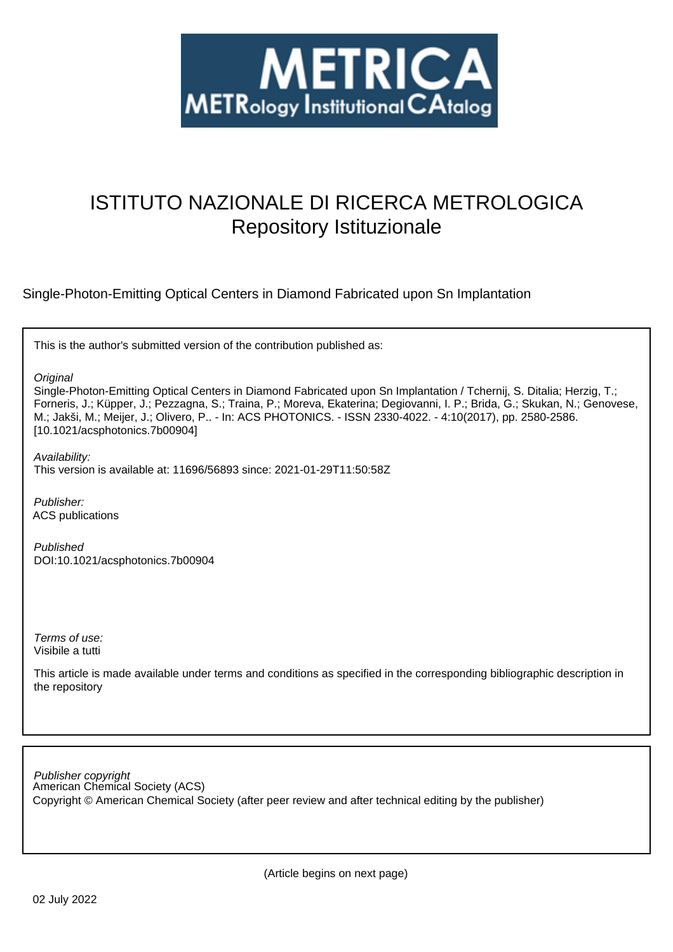

# ISTITUTO NAZIONALE DI RICERCA METROLOGICA Repository Istituzionale

Single-Photon-Emitting Optical Centers in Diamond Fabricated upon Sn Implantation

This is the author's submitted version of the contribution published as:

**Original** 

Single-Photon-Emitting Optical Centers in Diamond Fabricated upon Sn Implantation / Tchernij, S. Ditalia; Herzig, T.; Forneris, J.; Küpper, J.; Pezzagna, S.; Traina, P.; Moreva, Ekaterina; Degiovanni, I. P.; Brida, G.; Skukan, N.; Genovese, M.; Jakši, M.; Meijer, J.; Olivero, P.. - In: ACS PHOTONICS. - ISSN 2330-4022. - 4:10(2017), pp. 2580-2586. [10.1021/acsphotonics.7b00904]

Availability: This version is available at: 11696/56893 since: 2021-01-29T11:50:58Z

Publisher: ACS publications

Published DOI:10.1021/acsphotonics.7b00904

Terms of use: Visibile a tutti

This article is made available under terms and conditions as specified in the corresponding bibliographic description in the repository

American Chemical Society (ACS) Publisher copyright Copyright © American Chemical Society (after peer review and after technical editing by the publisher)

(Article begins on next page)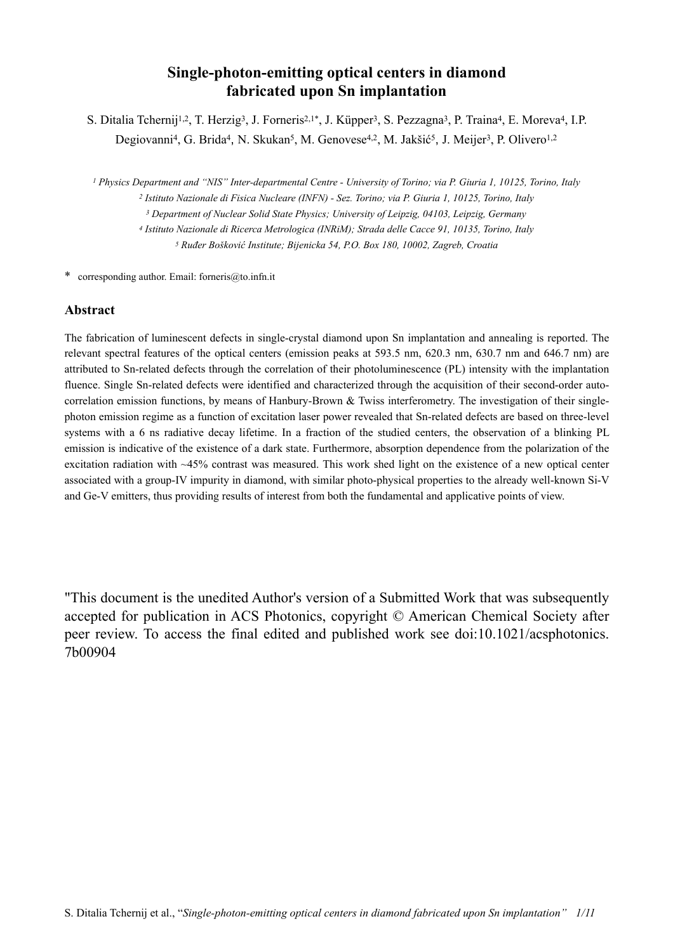# **Single-photon-emitting optical centers in diamond fabricated upon Sn implantation**

S. Ditalia Tchernij<sup>1,2</sup>, T. Herzig<sup>3</sup>, J. Forneris<sup>2,1\*</sup>, J. Küpper<sup>3</sup>, S. Pezzagna<sup>3</sup>, P. Traina<sup>4</sup>, E. Moreva<sup>4</sup>, I.P. Degiovanni<sup>4</sup>, G. Brida<sup>4</sup>, N. Skukan<sup>5</sup>, M. Genovese<sup>4,2</sup>, M. Jakšić<sup>5</sup>, J. Meijer<sup>3</sup>, P. Olivero<sup>1,2</sup>

*1 Physics Department and "NIS" Inter-departmental Centre - University of Torino; via P. Giuria 1, 10125, Torino, Italy 2 Istituto Nazionale di Fisica Nucleare (INFN) - Sez. Torino; via P. Giuria 1, 10125, Torino, Italy*

*3 Department of Nuclear Solid State Physics; University of Leipzig, 04103, Leipzig, Germany*

*4 Istituto Nazionale di Ricerca Metrologica (INRiM); Strada delle Cacce 91, 10135, Torino, Italy*

*5 Ruđer Bošković Institute; Bijenicka 54, P.O. Box 180, 10002, Zagreb, Croatia*

\* corresponding author. Email: [forneris@to.infn.it](mailto:forneris@to.infn.i)

#### **Abstract**

The fabrication of luminescent defects in single-crystal diamond upon Sn implantation and annealing is reported. The relevant spectral features of the optical centers (emission peaks at 593.5 nm, 620.3 nm, 630.7 nm and 646.7 nm) are attributed to Sn-related defects through the correlation of their photoluminescence (PL) intensity with the implantation fluence. Single Sn-related defects were identified and characterized through the acquisition of their second-order autocorrelation emission functions, by means of Hanbury-Brown  $\&$  Twiss interferometry. The investigation of their singlephoton emission regime as a function of excitation laser power revealed that Sn-related defects are based on three-level systems with a 6 ns radiative decay lifetime. In a fraction of the studied centers, the observation of a blinking PL emission is indicative of the existence of a dark state. Furthermore, absorption dependence from the polarization of the excitation radiation with ~45% contrast was measured. This work shed light on the existence of a new optical center associated with a group-IV impurity in diamond, with similar photo-physical properties to the already well-known Si-V and Ge-V emitters, thus providing results of interest from both the fundamental and applicative points of view.

"This document is the unedited Author's version of a Submitted Work that was subsequently accepted for publication in ACS Photonics, copyright © American Chemical Society after peer review. To access the final edited and published work see doi:10.1021/acsphotonics. 7b00904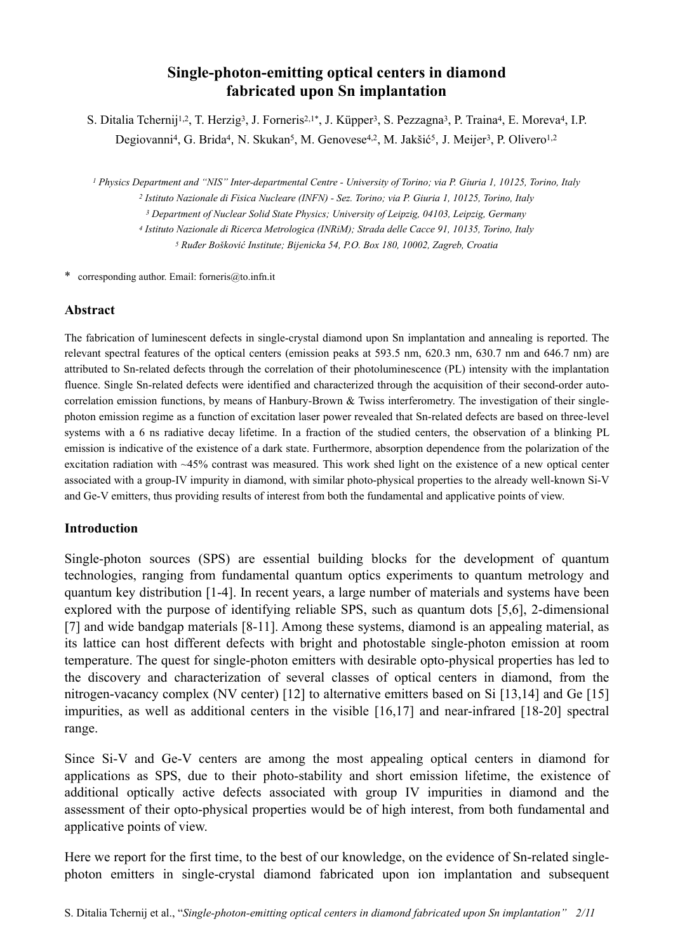# **Single-photon-emitting optical centers in diamond fabricated upon Sn implantation**

S. Ditalia Tchernij<sup>1,2</sup>, T. Herzig<sup>3</sup>, J. Forneris<sup>2,1\*</sup>, J. Küpper<sup>3</sup>, S. Pezzagna<sup>3</sup>, P. Traina<sup>4</sup>, E. Moreva<sup>4</sup>, I.P. Degiovanni<sup>4</sup>, G. Brida<sup>4</sup>, N. Skukan<sup>5</sup>, M. Genovese<sup>4,2</sup>, M. Jakšić<sup>5</sup>, J. Meijer<sup>3</sup>, P. Olivero<sup>1,2</sup>

*1 Physics Department and "NIS" Inter-departmental Centre - University of Torino; via P. Giuria 1, 10125, Torino, Italy 2 Istituto Nazionale di Fisica Nucleare (INFN) - Sez. Torino; via P. Giuria 1, 10125, Torino, Italy*

*3 Department of Nuclear Solid State Physics; University of Leipzig, 04103, Leipzig, Germany*

*4 Istituto Nazionale di Ricerca Metrologica (INRiM); Strada delle Cacce 91, 10135, Torino, Italy*

*5 Ruđer Bošković Institute; Bijenicka 54, P.O. Box 180, 10002, Zagreb, Croatia*

\* corresponding author. Email: [forneris@to.infn.it](mailto:forneris@to.infn.i)

## **Abstract**

The fabrication of luminescent defects in single-crystal diamond upon Sn implantation and annealing is reported. The relevant spectral features of the optical centers (emission peaks at 593.5 nm, 620.3 nm, 630.7 nm and 646.7 nm) are attributed to Sn-related defects through the correlation of their photoluminescence (PL) intensity with the implantation fluence. Single Sn-related defects were identified and characterized through the acquisition of their second-order autocorrelation emission functions, by means of Hanbury-Brown & Twiss interferometry. The investigation of their singlephoton emission regime as a function of excitation laser power revealed that Sn-related defects are based on three-level systems with a 6 ns radiative decay lifetime. In a fraction of the studied centers, the observation of a blinking PL emission is indicative of the existence of a dark state. Furthermore, absorption dependence from the polarization of the excitation radiation with ~45% contrast was measured. This work shed light on the existence of a new optical center associated with a group-IV impurity in diamond, with similar photo-physical properties to the already well-known Si-V and Ge-V emitters, thus providing results of interest from both the fundamental and applicative points of view.

### **Introduction**

Single-photon sources (SPS) are essential building blocks for the development of quantum technologies, ranging from fundamental quantum optics experiments to quantum metrology and quantum key distribution [1-4]. In recent years, a large number of materials and systems have been explored with the purpose of identifying reliable SPS, such as quantum dots [5,6], 2-dimensional [7] and wide bandgap materials [8-11]. Among these systems, diamond is an appealing material, as its lattice can host different defects with bright and photostable single-photon emission at room temperature. The quest for single-photon emitters with desirable opto-physical properties has led to the discovery and characterization of several classes of optical centers in diamond, from the nitrogen-vacancy complex (NV center) [12] to alternative emitters based on Si [13,14] and Ge [15] impurities, as well as additional centers in the visible [16,17] and near-infrared [18-20] spectral range.

Since Si-V and Ge-V centers are among the most appealing optical centers in diamond for applications as SPS, due to their photo-stability and short emission lifetime, the existence of additional optically active defects associated with group IV impurities in diamond and the assessment of their opto-physical properties would be of high interest, from both fundamental and applicative points of view.

Here we report for the first time, to the best of our knowledge, on the evidence of Sn-related singlephoton emitters in single-crystal diamond fabricated upon ion implantation and subsequent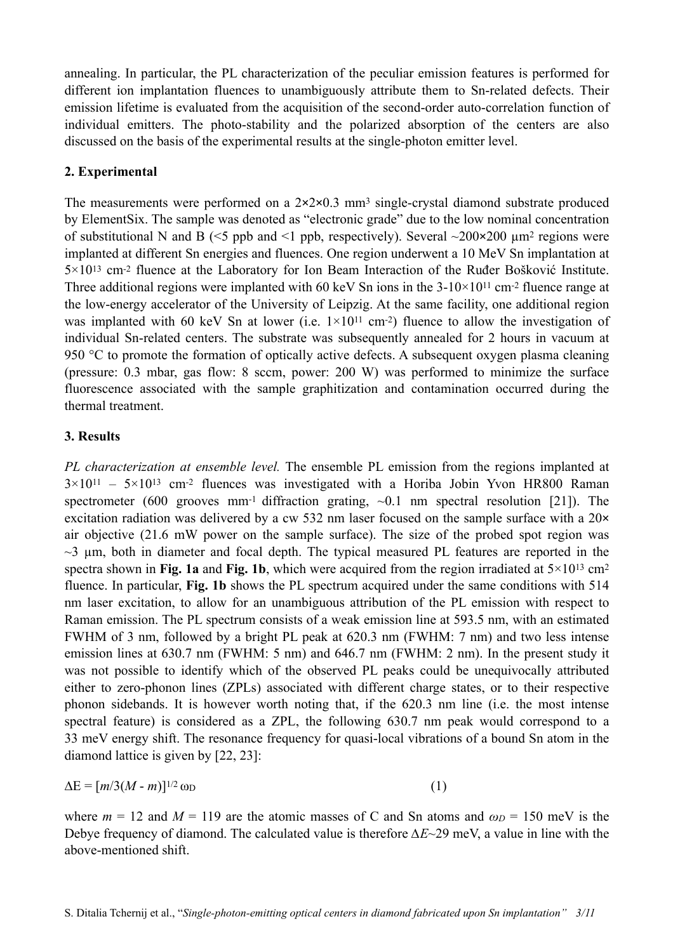annealing. In particular, the PL characterization of the peculiar emission features is performed for different ion implantation fluences to unambiguously attribute them to Sn-related defects. Their emission lifetime is evaluated from the acquisition of the second-order auto-correlation function of individual emitters. The photo-stability and the polarized absorption of the centers are also discussed on the basis of the experimental results at the single-photon emitter level.

# **2. Experimental**

The measurements were performed on a  $2 \times 2 \times 0.3$  mm<sup>3</sup> single-crystal diamond substrate produced by ElementSix. The sample was denoted as "electronic grade" due to the low nominal concentration of substitutional N and B ( $\le$ 5 ppb and  $\le$ 1 ppb, respectively). Several  $\sim$ 200×200 µm<sup>2</sup> regions were implanted at different Sn energies and fluences. One region underwent a 10 MeV Sn implantation at 5×1013 cm-2 fluence at the Laboratory for Ion Beam Interaction of the Ruđer Bošković Institute. Three additional regions were implanted with 60 keV Sn ions in the  $3-10\times10^{11}$  cm<sup>-2</sup> fluence range at the low-energy accelerator of the University of Leipzig. At the same facility, one additional region was implanted with 60 keV Sn at lower (i.e.  $1\times10^{11}$  cm<sup>-2</sup>) fluence to allow the investigation of individual Sn-related centers. The substrate was subsequently annealed for 2 hours in vacuum at 950 °C to promote the formation of optically active defects. A subsequent oxygen plasma cleaning (pressure: 0.3 mbar, gas flow: 8 sccm, power: 200 W) was performed to minimize the surface fluorescence associated with the sample graphitization and contamination occurred during the thermal treatment.

## **3. Results**

*PL characterization at ensemble level.* The ensemble PL emission from the regions implanted at  $3 \times 10^{11}$  –  $5 \times 10^{13}$  cm<sup>-2</sup> fluences was investigated with a Horiba Jobin Yvon HR800 Raman spectrometer (600 grooves mm<sup>-1</sup> diffraction grating,  $\sim 0.1$  nm spectral resolution [21]). The excitation radiation was delivered by a cw 532 nm laser focused on the sample surface with a  $20\times$ air objective (21.6 mW power on the sample surface). The size of the probed spot region was  $\sim$ 3 um, both in diameter and focal depth. The typical measured PL features are reported in the spectra shown in **Fig. 1a** and **Fig. 1b**, which were acquired from the region irradiated at  $5 \times 10^{13}$  cm<sup>2</sup> fluence. In particular, **Fig. 1b** shows the PL spectrum acquired under the same conditions with 514 nm laser excitation, to allow for an unambiguous attribution of the PL emission with respect to Raman emission. The PL spectrum consists of a weak emission line at 593.5 nm, with an estimated FWHM of 3 nm, followed by a bright PL peak at 620.3 nm (FWHM: 7 nm) and two less intense emission lines at 630.7 nm (FWHM: 5 nm) and 646.7 nm (FWHM: 2 nm). In the present study it was not possible to identify which of the observed PL peaks could be unequivocally attributed either to zero-phonon lines (ZPLs) associated with different charge states, or to their respective phonon sidebands. It is however worth noting that, if the 620.3 nm line (i.e. the most intense spectral feature) is considered as a ZPL, the following 630.7 nm peak would correspond to a 33 meV energy shift. The resonance frequency for quasi-local vibrations of a bound Sn atom in the diamond lattice is given by [22, 23]:

$$
\Delta E = [m/3(M - m)]^{1/2} \omega_D \tag{1}
$$

where  $m = 12$  and  $M = 119$  are the atomic masses of C and Sn atoms and  $\omega_D = 150$  meV is the Debye frequency of diamond. The calculated value is therefore *∆E*~29 meV, a value in line with the above-mentioned shift.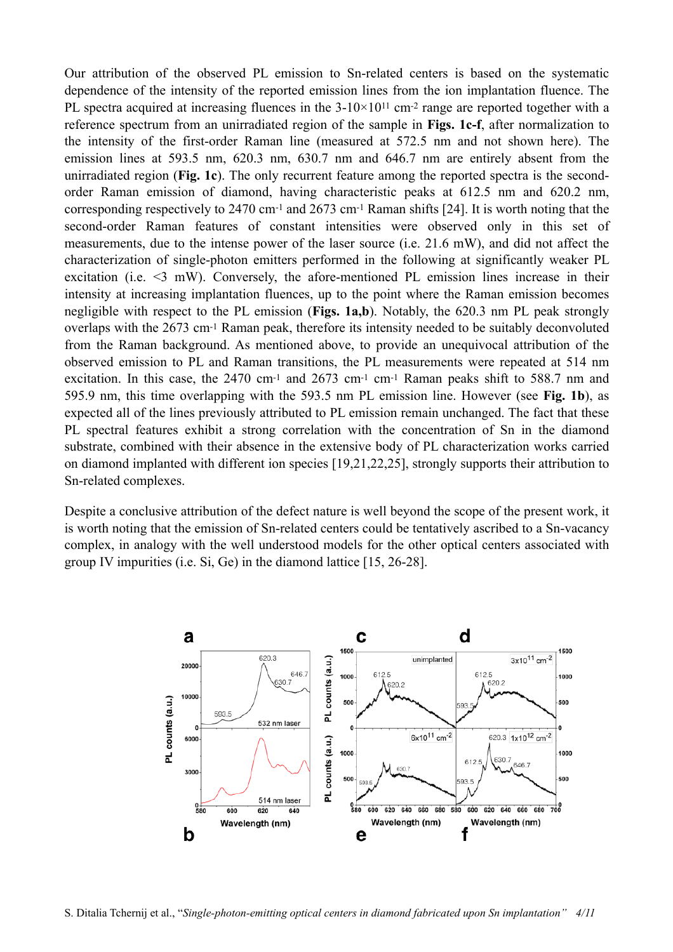Our attribution of the observed PL emission to Sn-related centers is based on the systematic dependence of the intensity of the reported emission lines from the ion implantation fluence. The PL spectra acquired at increasing fluences in the  $3-10\times10^{11}$  cm<sup>-2</sup> range are reported together with a reference spectrum from an unirradiated region of the sample in **Figs. 1c-f**, after normalization to the intensity of the first-order Raman line (measured at 572.5 nm and not shown here). The emission lines at 593.5 nm, 620.3 nm, 630.7 nm and 646.7 nm are entirely absent from the unirradiated region (**Fig. 1c**). The only recurrent feature among the reported spectra is the secondorder Raman emission of diamond, having characteristic peaks at 612.5 nm and 620.2 nm, corresponding respectively to 2470 cm-1 and 2673 cm-1 Raman shifts [24]. It is worth noting that the second-order Raman features of constant intensities were observed only in this set of measurements, due to the intense power of the laser source (i.e. 21.6 mW), and did not affect the characterization of single-photon emitters performed in the following at significantly weaker PL excitation (i.e. <3 mW). Conversely, the afore-mentioned PL emission lines increase in their intensity at increasing implantation fluences, up to the point where the Raman emission becomes negligible with respect to the PL emission (**Figs. 1a,b**). Notably, the 620.3 nm PL peak strongly overlaps with the 2673 cm-1 Raman peak, therefore its intensity needed to be suitably deconvoluted from the Raman background. As mentioned above, to provide an unequivocal attribution of the observed emission to PL and Raman transitions, the PL measurements were repeated at 514 nm excitation. In this case, the 2470 cm<sup>-1</sup> and 2673 cm<sup>-1</sup> cm<sup>-1</sup> Raman peaks shift to 588.7 nm and 595.9 nm, this time overlapping with the 593.5 nm PL emission line. However (see **Fig. 1b**), as expected all of the lines previously attributed to PL emission remain unchanged. The fact that these PL spectral features exhibit a strong correlation with the concentration of Sn in the diamond substrate, combined with their absence in the extensive body of PL characterization works carried on diamond implanted with different ion species [19,21,22,25], strongly supports their attribution to Sn-related complexes.

Despite a conclusive attribution of the defect nature is well beyond the scope of the present work, it is worth noting that the emission of Sn-related centers could be tentatively ascribed to a Sn-vacancy complex, in analogy with the well understood models for the other optical centers associated with group IV impurities (i.e. Si, Ge) in the diamond lattice [15, 26-28].

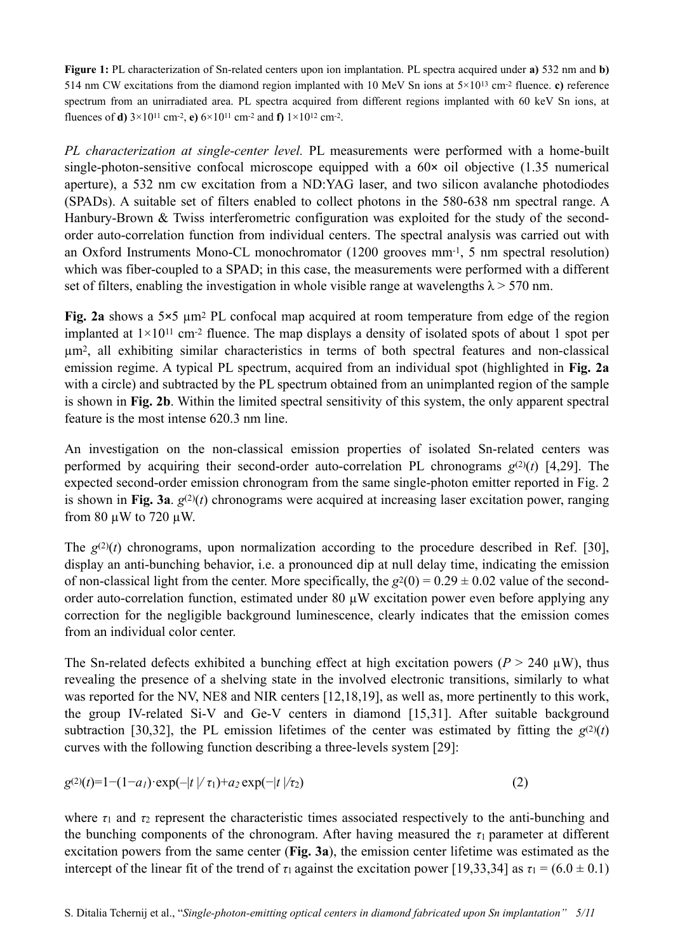**Figure 1:** PL characterization of Sn-related centers upon ion implantation. PL spectra acquired under **a)** 532 nm and **b)** 514 nm CW excitations from the diamond region implanted with 10 MeV Sn ions at  $5\times10^{13}$  cm<sup>-2</sup> fluence. **c**) reference spectrum from an unirradiated area. PL spectra acquired from different regions implanted with 60 keV Sn ions, at fluences of **d)** 3×1011 cm-2, **e)** 6×1011 cm-2 and **f)** 1×1012 cm-2.

*PL characterization at single-center level.* PL measurements were performed with a home-built single-photon-sensitive confocal microscope equipped with a  $60 \times$  oil objective (1.35 numerical aperture), a 532 nm cw excitation from a ND:YAG laser, and two silicon avalanche photodiodes (SPADs). A suitable set of filters enabled to collect photons in the 580-638 nm spectral range. A Hanbury-Brown & Twiss interferometric configuration was exploited for the study of the secondorder auto-correlation function from individual centers. The spectral analysis was carried out with an Oxford Instruments Mono-CL monochromator (1200 grooves mm-1, 5 nm spectral resolution) which was fiber-coupled to a SPAD; in this case, the measurements were performed with a different set of filters, enabling the investigation in whole visible range at wavelengths  $\lambda$  > 570 nm.

**Fig. 2a** shows a 5×5 µm2 PL confocal map acquired at room temperature from edge of the region implanted at  $1\times10^{11}$  cm<sup>-2</sup> fluence. The map displays a density of isolated spots of about 1 spot per µm2, all exhibiting similar characteristics in terms of both spectral features and non-classical emission regime. A typical PL spectrum, acquired from an individual spot (highlighted in **Fig. 2a**  with a circle) and subtracted by the PL spectrum obtained from an unimplanted region of the sample is shown in **Fig. 2b**. Within the limited spectral sensitivity of this system, the only apparent spectral feature is the most intense 620.3 nm line.

An investigation on the non-classical emission properties of isolated Sn-related centers was performed by acquiring their second-order auto-correlation PL chronograms  $g^{(2)}(t)$  [4,29]. The expected second-order emission chronogram from the same single-photon emitter reported in Fig. 2 is shown in **Fig. 3a**.  $g^{(2)}(t)$  chronograms were acquired at increasing laser excitation power, ranging from 80 µW to 720 µW.

The  $g^{(2)}(t)$  chronograms, upon normalization according to the procedure described in Ref. [30], display an anti-bunching behavior, i.e. a pronounced dip at null delay time, indicating the emission of non-classical light from the center. More specifically, the  $g^2(0) = 0.29 \pm 0.02$  value of the secondorder auto-correlation function, estimated under 80 µW excitation power even before applying any correction for the negligible background luminescence, clearly indicates that the emission comes from an individual color center.

The Sn-related defects exhibited a bunching effect at high excitation powers ( $P > 240 \mu W$ ), thus revealing the presence of a shelving state in the involved electronic transitions, similarly to what was reported for the NV, NE8 and NIR centers [12,18,19], as well as, more pertinently to this work, the group IV-related Si-V and Ge-V centers in diamond [15,31]. After suitable background subtraction [30,32], the PL emission lifetimes of the center was estimated by fitting the  $g^{(2)}(t)$ curves with the following function describing a three-levels system [29]:

$$
g^{(2)}(t) = 1 - (1 - a_1) \cdot \exp(-|t| / \tau_1) + a_2 \exp(-|t| / \tau_2)
$$
\n(2)

where  $\tau_1$  and  $\tau_2$  represent the characteristic times associated respectively to the anti-bunching and the bunching components of the chronogram. After having measured the  $\tau_1$  parameter at different excitation powers from the same center (**Fig. 3a**), the emission center lifetime was estimated as the intercept of the linear fit of the trend of  $\tau_1$  against the excitation power [19,33,34] as  $\tau_1 = (6.0 \pm 0.1)$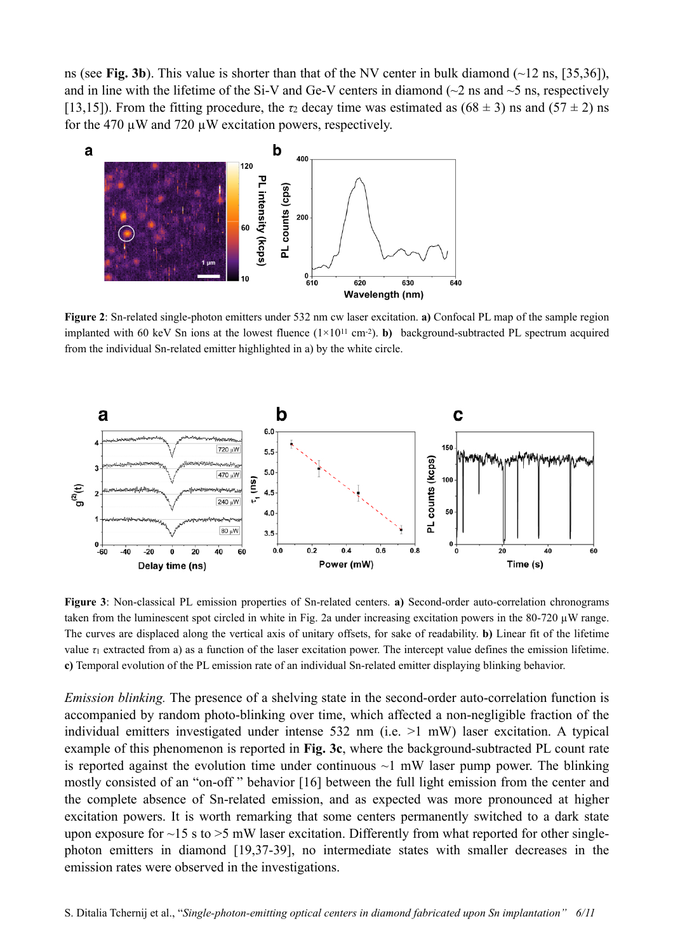ns (see **Fig. 3b**). This value is shorter than that of the NV center in bulk diamond  $(\sim 12 \text{ ns}, [35,36])$ , and in line with the lifetime of the Si-V and Ge-V centers in diamond ( $\sim$ 2 ns and  $\sim$ 5 ns, respectively [13,15]). From the fitting procedure, the  $\tau_2$  decay time was estimated as  $(68 \pm 3)$  ns and  $(57 \pm 2)$  ns for the 470  $\mu$ W and 720  $\mu$ W excitation powers, respectively.



**Figure 2**: Sn-related single-photon emitters under 532 nm cw laser excitation. **a)** Confocal PL map of the sample region implanted with 60 keV Sn ions at the lowest fluence  $(1\times10^{11} \text{ cm}^2)$ . **b**) background-subtracted PL spectrum acquired from the individual Sn-related emitter highlighted in a) by the white circle.



**Figure 3**: Non-classical PL emission properties of Sn-related centers. **a)** Second-order auto-correlation chronograms taken from the luminescent spot circled in white in Fig. 2a under increasing excitation powers in the 80-720  $\mu$ W range. The curves are displaced along the vertical axis of unitary offsets, for sake of readability. **b)** Linear fit of the lifetime value  $\tau_1$  extracted from a) as a function of the laser excitation power. The intercept value defines the emission lifetime. **c)** Temporal evolution of the PL emission rate of an individual Sn-related emitter displaying blinking behavior.

*Emission blinking.* The presence of a shelving state in the second-order auto-correlation function is accompanied by random photo-blinking over time, which affected a non-negligible fraction of the individual emitters investigated under intense 532 nm (i.e. >1 mW) laser excitation. A typical example of this phenomenon is reported in **Fig. 3c**, where the background-subtracted PL count rate is reported against the evolution time under continuous  $\sim$ 1 mW laser pump power. The blinking mostly consisted of an "on-off " behavior [16] between the full light emission from the center and the complete absence of Sn-related emission, and as expected was more pronounced at higher excitation powers. It is worth remarking that some centers permanently switched to a dark state upon exposure for  $\sim$ 15 s to  $>$ 5 mW laser excitation. Differently from what reported for other singlephoton emitters in diamond [19,37-39], no intermediate states with smaller decreases in the emission rates were observed in the investigations.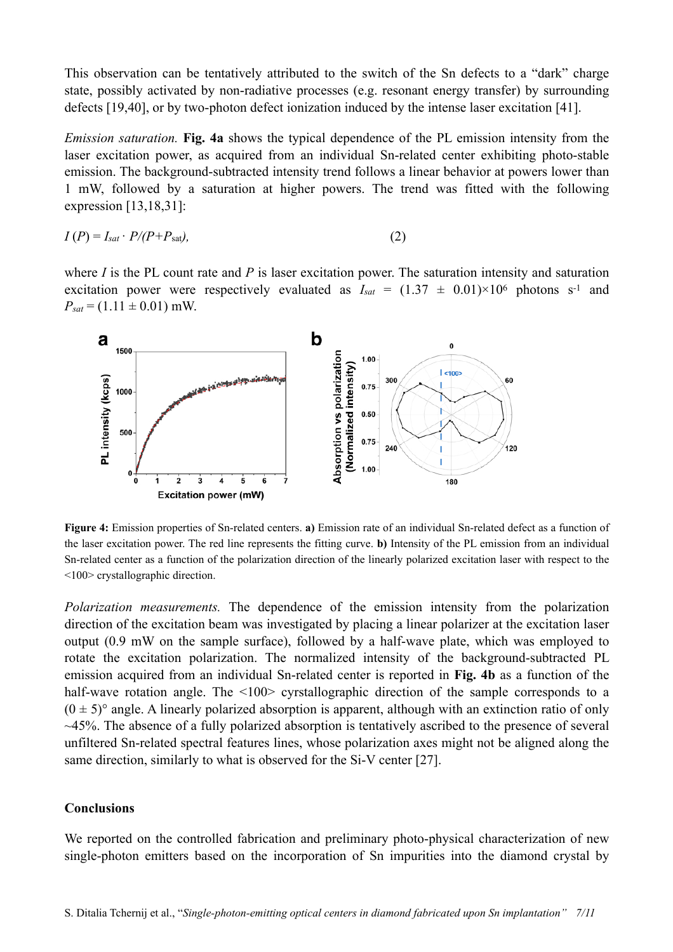This observation can be tentatively attributed to the switch of the Sn defects to a "dark" charge state, possibly activated by non-radiative processes (e.g. resonant energy transfer) by surrounding defects [19,40], or by two-photon defect ionization induced by the intense laser excitation [41].

*Emission saturation.* **Fig. 4a** shows the typical dependence of the PL emission intensity from the laser excitation power, as acquired from an individual Sn-related center exhibiting photo-stable emission. The background-subtracted intensity trend follows a linear behavior at powers lower than 1 mW, followed by a saturation at higher powers. The trend was fitted with the following expression [13,18,31]:

$$
I(P) = I_{sat} \cdot P/(P + P_{sat}),\tag{2}
$$

where *I* is the PL count rate and *P* is laser excitation power. The saturation intensity and saturation excitation power were respectively evaluated as  $I_{sat} = (1.37 \pm 0.01) \times 10^6$  photons s<sup>-1</sup> and  $P_{sat} = (1.11 \pm 0.01)$  mW.



**Figure 4:** Emission properties of Sn-related centers. **a)** Emission rate of an individual Sn-related defect as a function of the laser excitation power. The red line represents the fitting curve. **b)** Intensity of the PL emission from an individual Sn-related center as a function of the polarization direction of the linearly polarized excitation laser with respect to the <100> crystallographic direction.

*Polarization measurements.* The dependence of the emission intensity from the polarization direction of the excitation beam was investigated by placing a linear polarizer at the excitation laser output (0.9 mW on the sample surface), followed by a half-wave plate, which was employed to rotate the excitation polarization. The normalized intensity of the background-subtracted PL emission acquired from an individual Sn-related center is reported in **Fig. 4b** as a function of the half-wave rotation angle. The <100> cyrstallographic direction of the sample corresponds to a  $(0 \pm 5)$ ° angle. A linearly polarized absorption is apparent, although with an extinction ratio of only  $\sim$ 45%. The absence of a fully polarized absorption is tentatively ascribed to the presence of several unfiltered Sn-related spectral features lines, whose polarization axes might not be aligned along the same direction, similarly to what is observed for the Si-V center [27].

#### **Conclusions**

We reported on the controlled fabrication and preliminary photo-physical characterization of new single-photon emitters based on the incorporation of Sn impurities into the diamond crystal by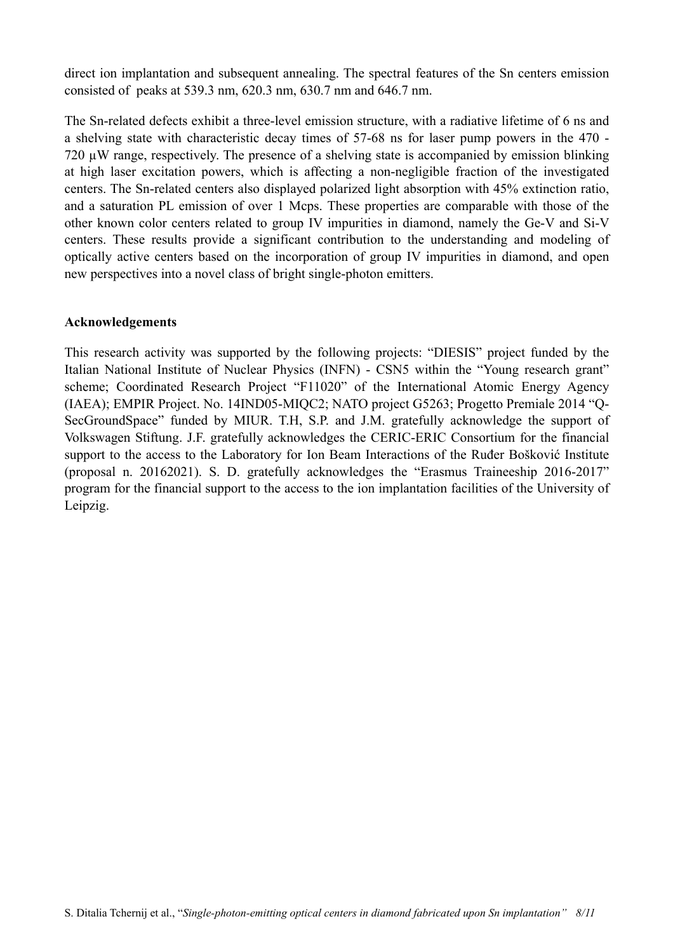direct ion implantation and subsequent annealing. The spectral features of the Sn centers emission consisted of peaks at 539.3 nm, 620.3 nm, 630.7 nm and 646.7 nm.

The Sn-related defects exhibit a three-level emission structure, with a radiative lifetime of 6 ns and a shelving state with characteristic decay times of 57-68 ns for laser pump powers in the 470 - 720 µW range, respectively. The presence of a shelving state is accompanied by emission blinking at high laser excitation powers, which is affecting a non-negligible fraction of the investigated centers. The Sn-related centers also displayed polarized light absorption with 45% extinction ratio, and a saturation PL emission of over 1 Mcps. These properties are comparable with those of the other known color centers related to group IV impurities in diamond, namely the Ge-V and Si-V centers. These results provide a significant contribution to the understanding and modeling of optically active centers based on the incorporation of group IV impurities in diamond, and open new perspectives into a novel class of bright single-photon emitters.

## **Acknowledgements**

This research activity was supported by the following projects: "DIESIS" project funded by the Italian National Institute of Nuclear Physics (INFN) - CSN5 within the "Young research grant" scheme; Coordinated Research Project "F11020" of the International Atomic Energy Agency (IAEA); EMPIR Project. No. 14IND05-MIQC2; NATO project G5263; Progetto Premiale 2014 "Q-SecGroundSpace" funded by MIUR. T.H, S.P. and J.M. gratefully acknowledge the support of Volkswagen Stiftung. J.F. gratefully acknowledges the CERIC-ERIC Consortium for the financial support to the access to the Laboratory for Ion Beam Interactions of the Ruđer Bošković Institute (proposal n. 20162021). S. D. gratefully acknowledges the "Erasmus Traineeship 2016-2017" program for the financial support to the access to the ion implantation facilities of the University of Leipzig.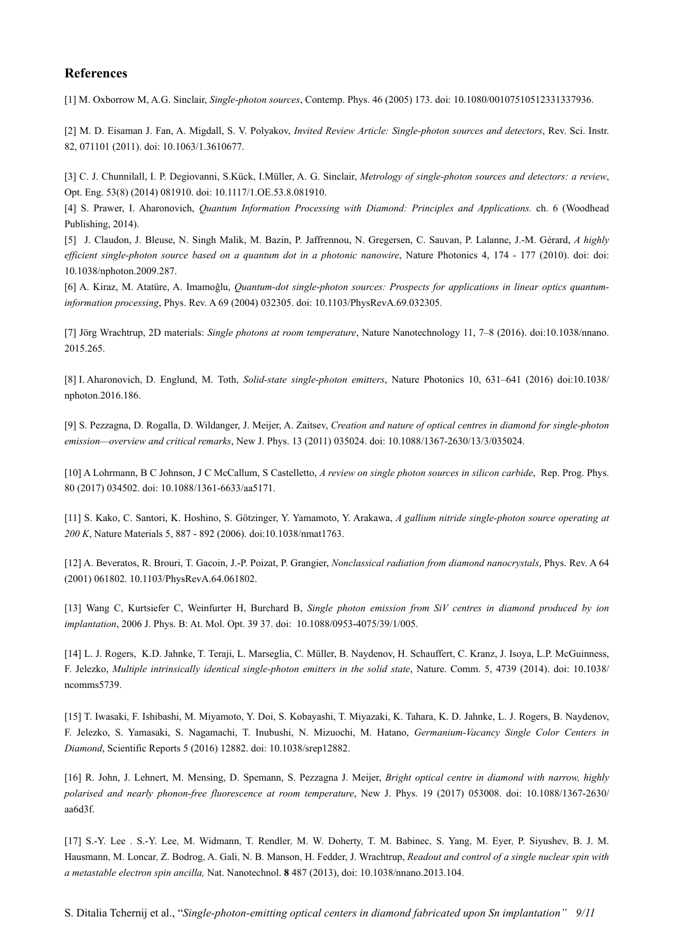#### **References**

[1] M. Oxborrow M, A.G. Sinclair, *Single-photon sources*, Contemp. Phys. 46 (2005) 173. doi: 10.1080/00107510512331337936.

[2] M. D. Eisaman J. Fan, A. Migdall, S. V. Polyakov, *Invited Review Article: Single-photon sources and detectors*, Rev. Sci. Instr. 82, 071101 (2011). doi: 10.1063/1.3610677.

[3] C. J. Chunnilall, I. P. Degiovanni, S.Kück, I.Müller, A. G. Sinclair, *Metrology of single-photon sources and detectors: a review*, Opt. Eng. 53(8) (2014) 081910. doi: 10.1117/1.OE.53.8.081910.

[4] S. Prawer, I. Aharonovich, *Quantum Information Processing with Diamond: Principles and Applications.* ch. 6 (Woodhead Publishing, 2014).

[5] J. Claudon, J. Bleuse, N. Singh Malik, M. Bazin, P. Jaffrennou, N. Gregersen, C. Sauvan, P. Lalanne, J.-M. Gérard, *A highly efficient single-photon source based on a quantum dot in a photonic nanowire*, Nature Photonics 4, 174 - 177 (2010). doi: doi: 10.1038/nphoton.2009.287.

[6] A. Kiraz, M. Atatüre, A. Imamoğlu, *Quantum-dot single-photon sources: Prospects for applications in linear optics quantuminformation processing*, Phys. Rev. A 69 (2004) 032305. doi: 10.1103/PhysRevA.69.032305.

[7] Jörg Wrachtrup, 2D materials: *Single photons at room temperature*, Nature Nanotechnology 11, 7–8 (2016). doi:10.1038/nnano. 2015.265.

[8] I. Aharonovich, D. Englund, M. Toth, *Solid-state single-photon emitters*, Nature Photonics 10, 631–641 (2016) doi:10.1038/ nphoton.2016.186.

[9] S. Pezzagna, D. Rogalla, D. Wildanger, J. Meijer, A. Zaitsev, *Creation and nature of optical centres in diamond for single-photon emission—overview and critical remarks*, New J. Phys. 13 (2011) 035024. doi: 10.1088/1367-2630/13/3/035024.

[10] A Lohrmann, B C Johnson, J C McCallum, S Castelletto, *A review on single photon sources in silicon carbide*, Rep. Prog. Phys. 80 (2017) 034502. doi: 10.1088/1361-6633/aa5171.

[11] S. Kako, C. Santori, K. Hoshino, S. Götzinger, Y. Yamamoto, Y. Arakawa, *A gallium nitride single-photon source operating at 200 K*, Nature Materials 5, 887 - 892 (2006). doi:10.1038/nmat1763.

[12] A. Beveratos, R. Brouri, T. Gacoin, J.-P. Poizat, P. Grangier, *Nonclassical radiation from diamond nanocrystals*, Phys. Rev. A 64 (2001) 061802. 10.1103/PhysRevA.64.061802.

[13] Wang C, Kurtsiefer C, Weinfurter H, Burchard B, *Single photon emission from SiV centres in diamond produced by ion implantation*, 2006 J. Phys. B: At. Mol. Opt. 39 37. doi: 10.1088/0953-4075/39/1/005.

[14] L. J. Rogers, K.D. Jahnke, T. Teraji, L. Marseglia, C. Müller, B. Naydenov, H. Schauffert, C. Kranz, J. Isoya, L.P. McGuinness, F. Jelezko, *Multiple intrinsically identical single-photon emitters in the solid state*, Nature. Comm. 5, 4739 (2014). doi: 10.1038/ ncomms5739.

[15] T. Iwasaki, F. Ishibashi, M. Miyamoto, Y. Doi, S. Kobayashi, T. Miyazaki, K. Tahara, K. D. Jahnke, L. J. Rogers, B. Naydenov, F. Jelezko, S. Yamasaki, S. Nagamachi, T. Inubushi, N. Mizuochi, M. Hatano, *Germanium-Vacancy Single Color Centers in Diamond*, Scientific Reports 5 (2016) 12882. doi: 10.1038/srep12882.

[16] R. John, J. Lehnert, M. Mensing, D. Spemann, S. Pezzagna J. Meijer, *Bright optical centre in diamond with narrow, highly polarised and nearly phonon-free fluorescence at room temperature*, New J. Phys. 19 (2017) 053008. doi: 10.1088/1367-2630/ aa6d3f.

[17] S.-Y. Lee . S.-Y. Lee, M. Widmann, T. Rendler, M. W. Doherty, T. M. Babinec, S. Yang, M. Eyer, P. Siyushev, B. J. M. Hausmann, M. Loncar, Z. Bodrog, A. Gali, N. B. Manson, H. Fedder, J. Wrachtrup, *Readout and control of a single nuclear spin with a metastable electron spin ancilla,* Nat. Nanotechnol. **8** 487 (2013), doi: 10.1038/nnano.2013.104.

S. Ditalia Tchernij et al., "*Single-photon-emitting optical centers in diamond fabricated upon Sn implantation" 9/11*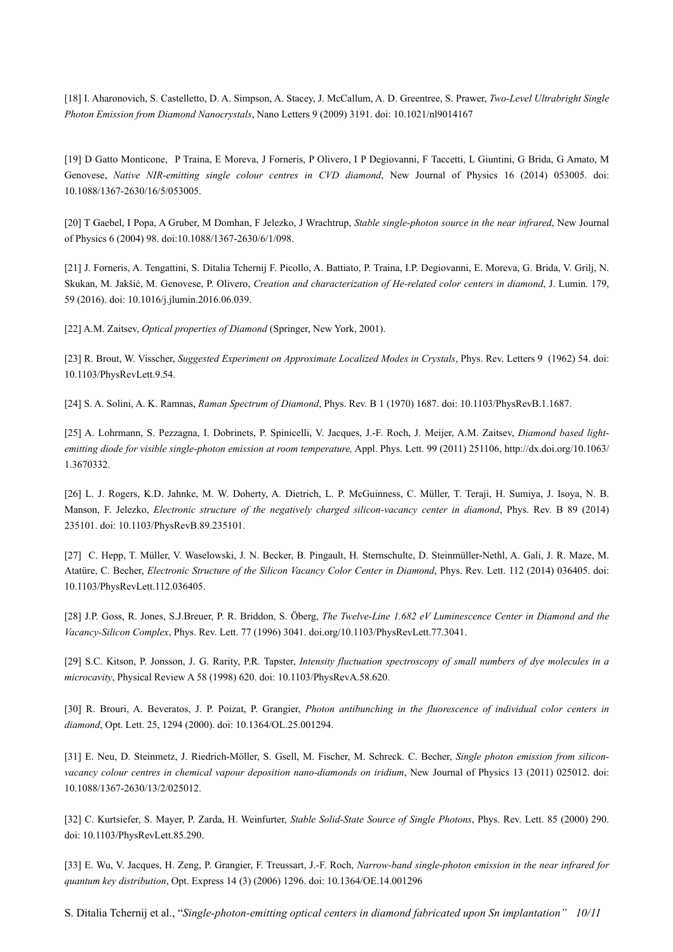[18] I. Aharonovich, S. Castelletto, D. A. Simpson, A. Stacey, J. McCallum, A. D. Greentree, S. Prawer, *Two-Level Ultrabright Single Photon Emission from Diamond Nanocrystals*, Nano Letters 9 (2009) 3191. doi: 10.1021/nl9014167

[19] D Gatto Monticone, P Traina, E Moreva, J Forneris, P Olivero, I P Degiovanni, F Taccetti, L Giuntini, G Brida, G Amato, M Genovese, *Native NIR-emitting single colour centres in CVD diamond*, New Journal of Physics 16 (2014) 053005. doi: 10.1088/1367-2630/16/5/053005.

[20] T Gaebel, I Popa, A Gruber, M Domhan, F Jelezko, J Wrachtrup, *Stable single-photon source in the near infrared*, New Journal of Physics 6 (2004) 98. doi:10.1088/1367-2630/6/1/098.

[21] J. Forneris, A. Tengattini, S. Ditalia Tchernij F. Picollo, A. Battiato, P. Traina, I.P. Degiovanni, E. Moreva, G. Brida, V. Grilj, N. Skukan, M. Jakšić, M. Genovese, P. Olivero, *Creation and characterization of He-related color centers in diamond*, J. Lumin. 179, 59 (2016). doi: 10.1016/j.jlumin.2016.06.039.

[22] A.M. Zaitsev, *Optical properties of Diamond* (Springer, New York, 2001).

[23] R. Brout, W. Visscher, *Suggested Experiment on Approximate Localized Modes in Crystals*, Phys. Rev. Letters 9 (1962) 54. doi: 10.1103/PhysRevLett.9.54.

[24] S. A. Solini, A. K. Ramnas, *Raman Spectrum of Diamond*, Phys. Rev. B 1 (1970) 1687. doi: 10.1103/PhysRevB.1.1687.

[25] A. Lohrmann, S. Pezzagna, I. Dobrinets, P. Spinicelli, V. Jacques, J.-F. Roch, J. Meijer, A.M. Zaitsev, *Diamond based lightemitting diode for visible single-photon emission at room temperature,* Appl. Phys. Lett. 99 (2011) 251106, http://dx.doi.org/10.1063/ 1.3670332.

[26] L. J. Rogers, K.D. Jahnke, M. W. Doherty, A. Dietrich, L. P. McGuinness, C. Müller, T. Teraji, H. Sumiya, J. Isoya, N. B. Manson, F. Jelezko, *Electronic structure of the negatively charged silicon-vacancy center in diamond*, Phys. Rev. B 89 (2014) 235101. doi: 10.1103/PhysRevB.89.235101.

[27] C. Hepp, T. Müller, V. Waselowski, J. N. Becker, B. Pingault, H. Sternschulte, D. Steinmüller-Nethl, A. Gali, J. R. Maze, M. Atatüre, C. Becher, *Electronic Structure of the Silicon Vacancy Color Center in Diamond*, Phys. Rev. Lett. 112 (2014) 036405. doi: 10.1103/PhysRevLett.112.036405.

[28] J.P. Goss, R. Jones, S.J.Breuer, P. R. Briddon, S. Öberg, *The Twelve-Line 1.682 eV Luminescence Center in Diamond and the Vacancy-Silicon Complex*, Phys. Rev. Lett. 77 (1996) 3041. doi.org/10.1103/PhysRevLett.77.3041.

[29] S.C. Kitson, P. Jonsson, J. G. Rarity, P.R. Tapster, *Intensity fluctuation spectroscopy of small numbers of dye molecules in a microcavity*, Physical Review A 58 (1998) 620. doi: 10.1103/PhysRevA.58.620.

[30] R. Brouri, A. Beveratos, J. P. Poizat, P. Grangier, *Photon antibunching in the fluorescence of individual color centers in diamond*, Opt. Lett. 25, 1294 (2000). doi: 10.1364/OL.25.001294.

[31] E. Neu, D. Steinmetz, J. Riedrich-Möller, S. Gsell, M. Fischer, M. Schreck. C. Becher, *Single photon emission from siliconvacancy colour centres in chemical vapour deposition nano-diamonds on iridium*, New Journal of Physics 13 (2011) 025012. doi: 10.1088/1367-2630/13/2/025012.

[32] C. Kurtsiefer, S. Mayer, P. Zarda, H. Weinfurter, *Stable Solid-State Source of Single Photons*, Phys. Rev. Lett. 85 (2000) 290. doi: 10.1103/PhysRevLett.85.290.

[33] E. Wu, V. Jacques, H. Zeng, P. Grangier, F. Treussart, J.-F. Roch, *Narrow-band single-photon emission in the near infrared for quantum key distribution*, Opt. Express 14 (3) (2006) 1296. doi: 10.1364/OE.14.001296

S. Ditalia Tchernij et al., "*Single-photon-emitting optical centers in diamond fabricated upon Sn implantation" 10/11*